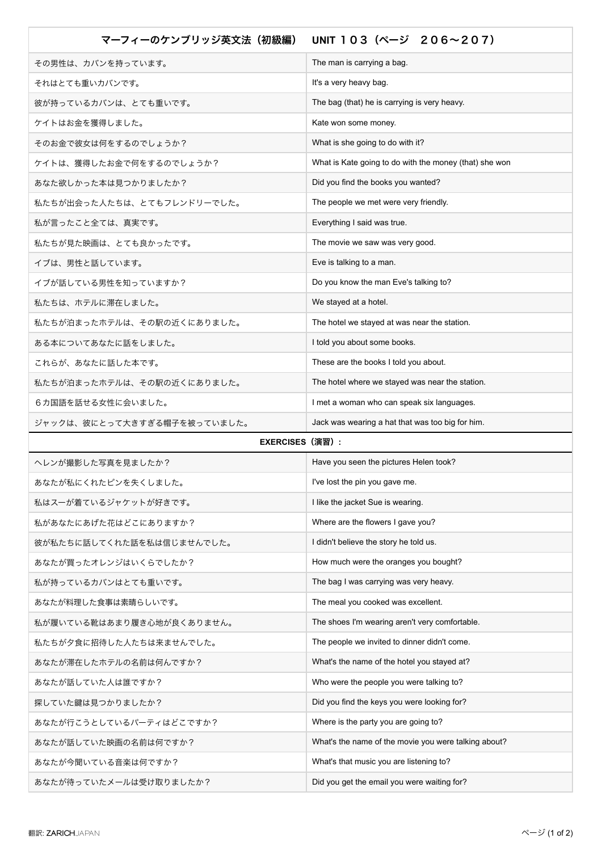| マーフィーのケンブリッジ英文法 (初級編)       | UNIT 103 (ページ 206~207)                                 |
|-----------------------------|--------------------------------------------------------|
| その男性は、カバンを持っています。           | The man is carrying a bag.                             |
| それはとても重いカバンです。              | It's a very heavy bag.                                 |
| 彼が持っているカバンは、とても重いです。        | The bag (that) he is carrying is very heavy.           |
| ケイトはお金を獲得しました。              | Kate won some money.                                   |
| そのお金で彼女は何をするのでしょうか?         | What is she going to do with it?                       |
| ケイトは、獲得したお金で何をするのでしょうか?     | What is Kate going to do with the money (that) she won |
| あなた欲しかった本は見つかりましたか?         | Did you find the books you wanted?                     |
| 私たちが出会った人たちは、とてもフレンドリーでした。  | The people we met were very friendly.                  |
| 私が言ったこと全ては、真実です。            | Everything I said was true.                            |
| 私たちが見た映画は、とても良かったです。        | The movie we saw was very good.                        |
| イブは、男性と話しています。              | Eve is talking to a man.                               |
| イブが話している男性を知っていますか?         | Do you know the man Eve's talking to?                  |
| 私たちは、ホテルに滞在しました。            | We stayed at a hotel.                                  |
| 私たちが泊まったホテルは、その駅の近くにありました。  | The hotel we stayed at was near the station.           |
| ある本についてあなたに話をしました。          | I told you about some books.                           |
| これらが、あなたに話した本です。            | These are the books I told you about.                  |
| 私たちが泊まったホテルは、その駅の近くにありました。  | The hotel where we stayed was near the station.        |
| 6カ国語を話せる女性に会いました。           | I met a woman who can speak six languages.             |
| ジャックは、彼にとって大きすぎる帽子を被っていました。 | Jack was wearing a hat that was too big for him.       |
| <b>EXERCISES (演習):</b>      |                                                        |
| ヘレンが撮影した写真を見ましたか?           | Have you seen the pictures Helen took?                 |
| あなたが私にくれたピンを失くしました。         | I've lost the pin you gave me.                         |
| 私はスーが着ているジャケットが好きです。        | I like the jacket Sue is wearing.                      |
| 私があなたにあげた花はどこにありますか?        | Where are the flowers I gave you?                      |
| 彼が私たちに話してくれた話を私は信じませんでした。   | I didn't believe the story he told us.                 |
| あなたが買ったオレンジはいくらでしたか?        | How much were the oranges you bought?                  |
| 私が持っているカバンはとても重いです。         | The bag I was carrying was very heavy.                 |
| あなたが料理した食事は素晴らしいです。         | The meal you cooked was excellent.                     |
| 私が履いている靴はあまり履き心地が良くありません。   | The shoes I'm wearing aren't very comfortable.         |
| 私たちが夕食に招待した人たちは来ませんでした。     | The people we invited to dinner didn't come.           |
| あなたが滞在したホテルの名前は何んですか?       | What's the name of the hotel you stayed at?            |
| あなたが話していた人は誰ですか?            | Who were the people you were talking to?               |
| 探していた鍵は見つかりましたか?            | Did you find the keys you were looking for?            |
| あなたが行こうとしているパーティはどこですか?     | Where is the party you are going to?                   |
| あなたが話していた映画の名前は何ですか?        | What's the name of the movie you were talking about?   |
| あなたが今聞いている音楽は何ですか?          | What's that music you are listening to?                |
| あなたが待っていたメールは受け取りましたか?      | Did you get the email you were waiting for?            |